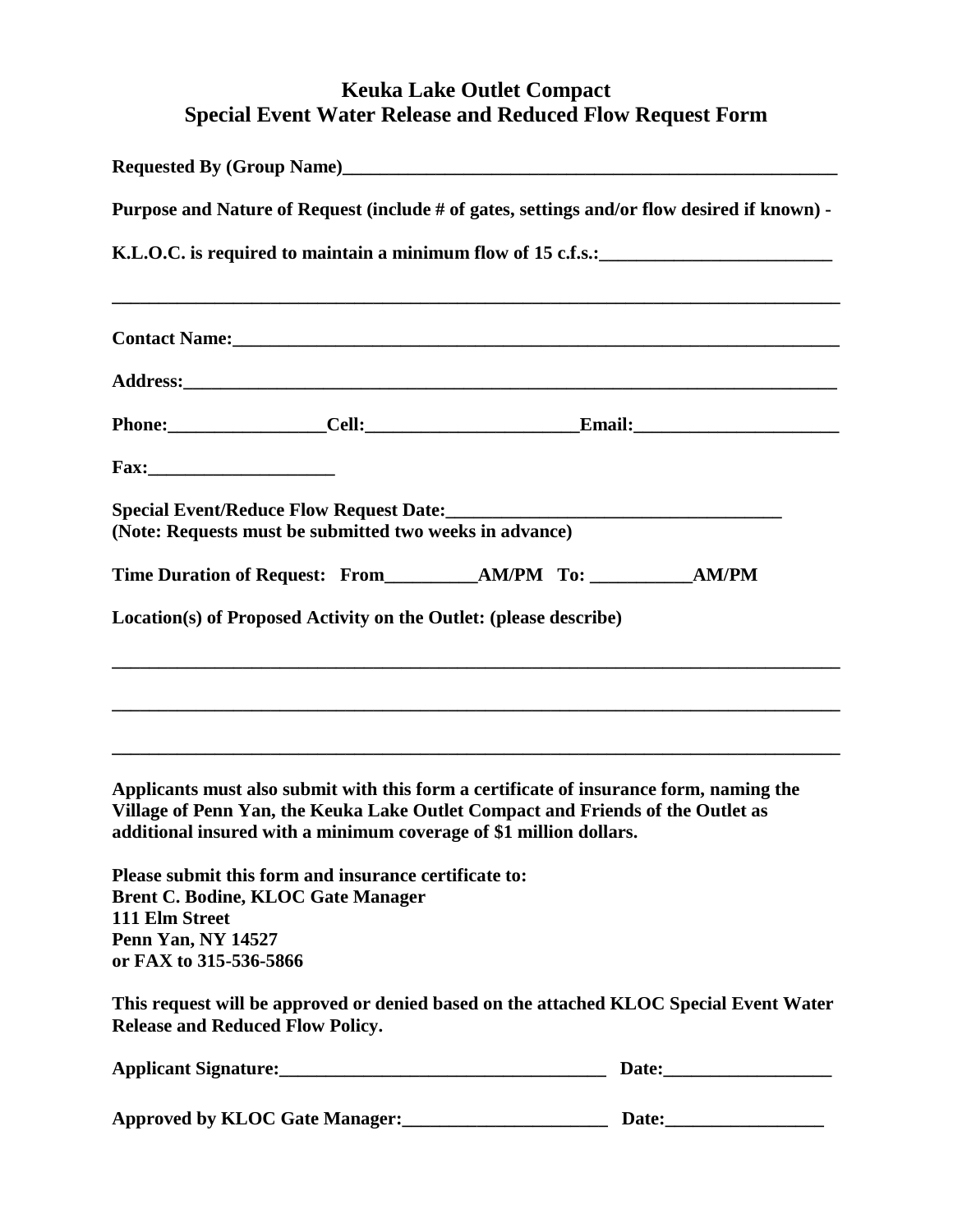## **Keuka Lake Outlet Compact Special Event Water Release and Reduced Flow Request Form**

| Purpose and Nature of Request (include # of gates, settings and/or flow desired if known) -<br>K.L.O.C. is required to maintain a minimum flow of 15 c.f.s.:                |  |                                                                                                                                                                           |  |  |  |
|-----------------------------------------------------------------------------------------------------------------------------------------------------------------------------|--|---------------------------------------------------------------------------------------------------------------------------------------------------------------------------|--|--|--|
|                                                                                                                                                                             |  |                                                                                                                                                                           |  |  |  |
|                                                                                                                                                                             |  |                                                                                                                                                                           |  |  |  |
|                                                                                                                                                                             |  |                                                                                                                                                                           |  |  |  |
|                                                                                                                                                                             |  |                                                                                                                                                                           |  |  |  |
| (Note: Requests must be submitted two weeks in advance)                                                                                                                     |  |                                                                                                                                                                           |  |  |  |
|                                                                                                                                                                             |  |                                                                                                                                                                           |  |  |  |
| Location(s) of Proposed Activity on the Outlet: (please describe)                                                                                                           |  |                                                                                                                                                                           |  |  |  |
|                                                                                                                                                                             |  |                                                                                                                                                                           |  |  |  |
| additional insured with a minimum coverage of \$1 million dollars.                                                                                                          |  | Applicants must also submit with this form a certificate of insurance form, naming the<br>Village of Penn Yan, the Keuka Lake Outlet Compact and Friends of the Outlet as |  |  |  |
| Please submit this form and insurance certificate to:<br><b>Brent C. Bodine, KLOC Gate Manager</b><br>111 Elm Street<br><b>Penn Yan, NY 14527</b><br>or FAX to 315-536-5866 |  |                                                                                                                                                                           |  |  |  |
| <b>Release and Reduced Flow Policy.</b>                                                                                                                                     |  | This request will be approved or denied based on the attached KLOC Special Event Water                                                                                    |  |  |  |
|                                                                                                                                                                             |  |                                                                                                                                                                           |  |  |  |
|                                                                                                                                                                             |  |                                                                                                                                                                           |  |  |  |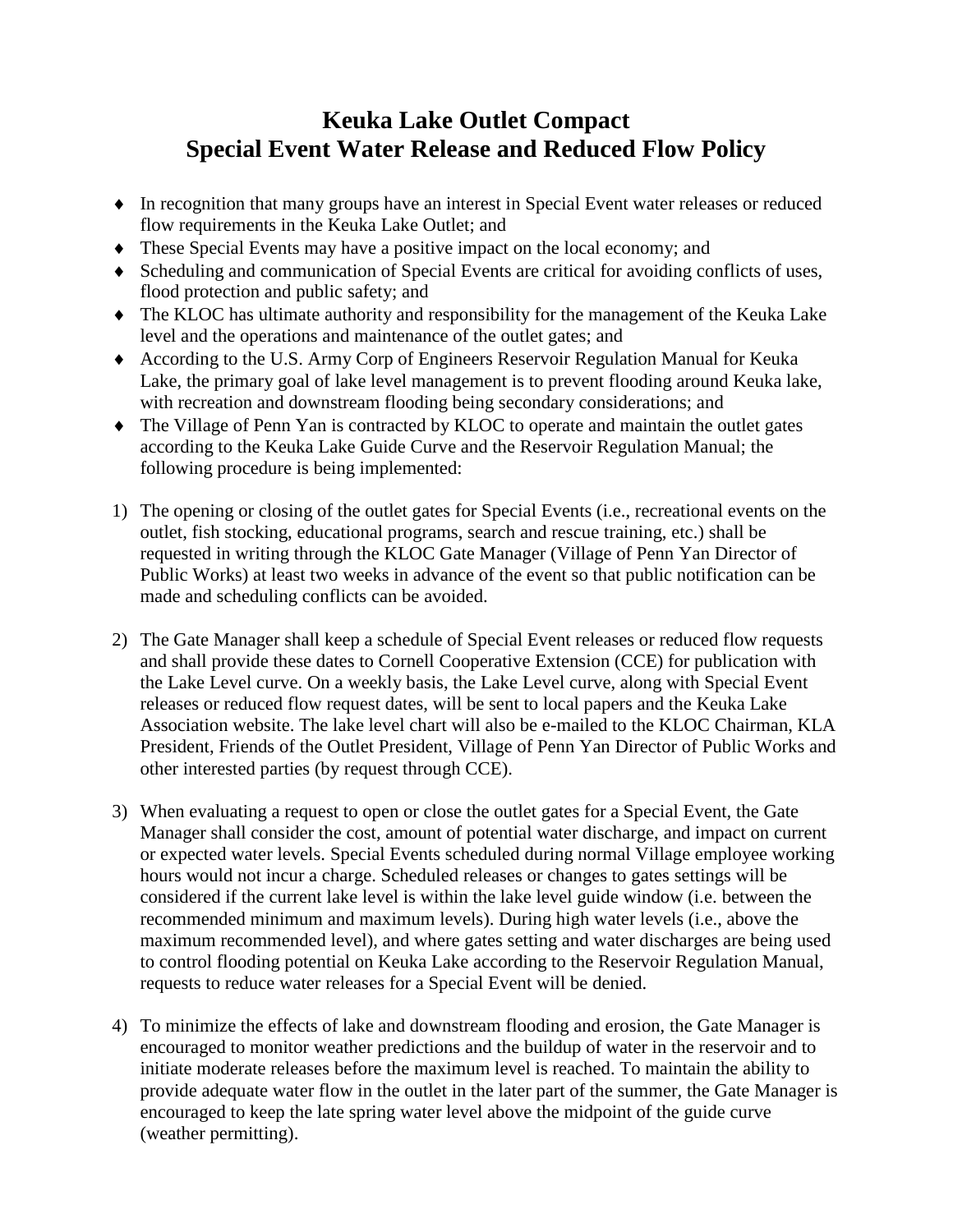## **Keuka Lake Outlet Compact Special Event Water Release and Reduced Flow Policy**

- In recognition that many groups have an interest in Special Event water releases or reduced flow requirements in the Keuka Lake Outlet; and
- These Special Events may have a positive impact on the local economy; and
- Scheduling and communication of Special Events are critical for avoiding conflicts of uses, flood protection and public safety; and
- The KLOC has ultimate authority and responsibility for the management of the Keuka Lake level and the operations and maintenance of the outlet gates; and
- According to the U.S. Army Corp of Engineers Reservoir Regulation Manual for Keuka Lake, the primary goal of lake level management is to prevent flooding around Keuka lake, with recreation and downstream flooding being secondary considerations; and
- The Village of Penn Yan is contracted by KLOC to operate and maintain the outlet gates according to the Keuka Lake Guide Curve and the Reservoir Regulation Manual; the following procedure is being implemented:
- 1) The opening or closing of the outlet gates for Special Events (i.e., recreational events on the outlet, fish stocking, educational programs, search and rescue training, etc.) shall be requested in writing through the KLOC Gate Manager (Village of Penn Yan Director of Public Works) at least two weeks in advance of the event so that public notification can be made and scheduling conflicts can be avoided.
- 2) The Gate Manager shall keep a schedule of Special Event releases or reduced flow requests and shall provide these dates to Cornell Cooperative Extension (CCE) for publication with the Lake Level curve. On a weekly basis, the Lake Level curve, along with Special Event releases or reduced flow request dates, will be sent to local papers and the Keuka Lake Association website. The lake level chart will also be e-mailed to the KLOC Chairman, KLA President, Friends of the Outlet President, Village of Penn Yan Director of Public Works and other interested parties (by request through CCE).
- 3) When evaluating a request to open or close the outlet gates for a Special Event, the Gate Manager shall consider the cost, amount of potential water discharge, and impact on current or expected water levels. Special Events scheduled during normal Village employee working hours would not incur a charge. Scheduled releases or changes to gates settings will be considered if the current lake level is within the lake level guide window (i.e. between the recommended minimum and maximum levels). During high water levels (i.e., above the maximum recommended level), and where gates setting and water discharges are being used to control flooding potential on Keuka Lake according to the Reservoir Regulation Manual, requests to reduce water releases for a Special Event will be denied.
- 4) To minimize the effects of lake and downstream flooding and erosion, the Gate Manager is encouraged to monitor weather predictions and the buildup of water in the reservoir and to initiate moderate releases before the maximum level is reached. To maintain the ability to provide adequate water flow in the outlet in the later part of the summer, the Gate Manager is encouraged to keep the late spring water level above the midpoint of the guide curve (weather permitting).